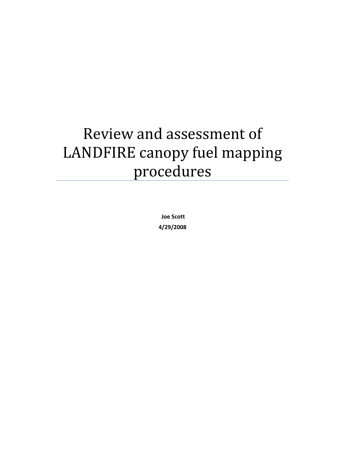# Review and assessment of LANDFIRE canopy fuel mapping procedures

 **Joe Scott 4/29/2008**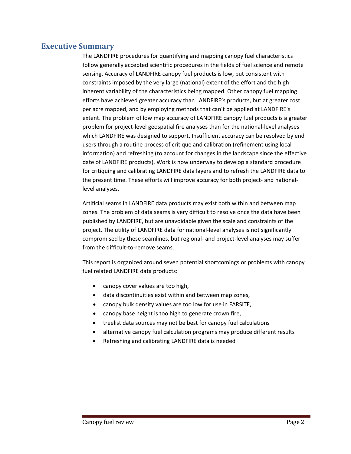## **Executive Summary**

 The LANDFIRE procedures for quantifying and mapping canopy fuel characteristics follow generally accepted scientific procedures in the fields of fuel science and remote sensing. Accuracy of LANDFIRE canopy fuel products is low, but consistent with constraints imposed by the very large (national) extent of the effort and the high inherent variability of the characteristics being mapped. Other canopy fuel mapping efforts have achieved greater accuracy than LANDFIRE's products, but at greater cost per acre mapped, and by employing methods that can't be applied at LANDFIRE's extent. The problem of low map accuracy of LANDFIRE canopy fuel products is a greater problem for project‐level geospatial fire analyses than for the national‐level analyses which LANDFIRE was designed to support. Insufficient accuracy can be resolved by end users through a routine process of critique and calibration (refinement using local information) and refreshing (to account for changes in the landscape since the effective date of LANDFIRE products). Work is now underway to develop a standard procedure for critiquing and calibrating LANDFIRE data layers and to refresh the LANDFIRE data to the present time. These efforts will improve accuracy for both project‐ and national‐ level analyses.

 Artificial seams in LANDFIRE data products may exist both within and between map zones. The problem of data seams is very difficult to resolve once the data have been published by LANDFIRE, but are unavoidable given the scale and constraints of the project. The utility of LANDFIRE data for national‐level analyses is not significantly compromised by these seamlines, but regional‐ and project‐level analyses may suffer from the difficult‐to‐remove seams.

 This report is organized around seven potential shortcomings or problems with canopy fuel related LANDFIRE data products:

- canopy cover values are too high,
- data discontinuities exist within and between map zones,
- canopy bulk density values are too low for use in FARSITE,
- canopy base height is too high to generate crown fire,
- treelist data sources may not be best for canopy fuel calculations
- alternative canopy fuel calculation programs may produce different results
- Refreshing and calibrating LANDFIRE data is needed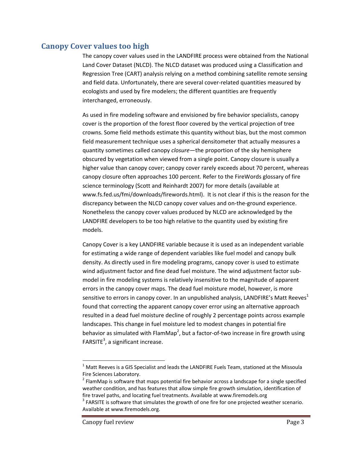## **Canopy Cover values too high**

 The canopy cover values used in the LANDFIRE process were obtained from the National Land Cover Dataset (NLCD). The NLCD dataset was produced using a Classification and Regression Tree (CART) analysis relying on a method combining satellite remote sensing and field data. Unfortunately, there are several cover‐related quantities measured by ecologists and used by fire modelers; the different quantities are frequently interchanged, erroneously.

 As used in fire modeling software and envisioned by fire behavior specialists, canopy cover is the proportion of the forest floor covered by the vertical projection of tree crowns. Some field methods estimate this quantity without bias, but the most common field measurement technique uses a spherical densitometer that actually measures a quantity sometimes called canopy *closure*—the proportion of the sky hemisphere obscured by vegetation when viewed from a single point. Canopy closure is usually a higher value than canopy cover; canopy cover rarely exceeds about 70 percent, whereas canopy closure often approaches 100 percent. Refer to the FireWords glossary of fire science terminology (Scott and Reinhardt 2007) for more details (available at www.fs.fed.us/fmi/downloads/firewords.html). It is not clear if this is the reason for the discrepancy between the NLCD canopy cover values and on‐the‐ground experience. Nonetheless the canopy cover values produced by NLCD are acknowledged by the LANDFIRE developers to be too high relative to the quantity used by existing fire models.

 Canopy Cover is a key LANDFIRE variable because it is used as an independent variable for estimating a wide range of dependent variables like fuel model and canopy bulk density. As directly used in fire modeling programs, canopy cover is used to estimate wind adjustment factor and fine dead fuel moisture. The wind adjustment factor sub‐ model in fire modeling systems is relatively insensitive to the magnitude of apparent errors in the canopy cover maps. The dead fuel moisture model, however, is more sensitive to errors in canopy cover. In an unpublished analysis, LANDFIRE's Matt Reeves<sup>1</sup> found that correcting the apparent canopy cover error using an alternative approach resulted in a dead fuel moisture decline of roughly 2 percentage points across example landscapes. This change in fuel moisture led to modest changes in potential fire behavior as simulated with FlamMap<sup>2</sup>, but a factor-of-two increase in fire growth using  $FARSITE<sup>3</sup>$ , a significant increase.

 $^1$  Matt Reeves is a GIS Specialist and leads the LANDFIRE Fuels Team, stationed at the Missoula Fire Sciences Laboratory.

Fire Sciences Laboratory.<br><sup>2</sup> FlamMap is software that maps potential fire behavior across a landscape for a single specified weather condition, and has features that allow simple fire growth simulation, identification of fire travel paths, and locating fuel treatments. Available at www.firemodels.org

fire travel paths, and locating fuel treatments. Available at www.firemodels.org<br><sup>3</sup> FARSITE is software that simulates the growth of one fire for one projected weather scenario. Available at www.firemodels.org.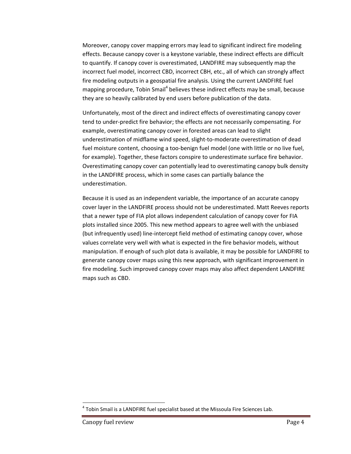Moreover, canopy cover mapping errors may lead to significant indirect fire modeling effects. Because canopy cover is a keystone variable, these indirect effects are difficult to quantify. If canopy cover is overestimated, LANDFIRE may subsequently map the incorrect fuel model, incorrect CBD, incorrect CBH, etc., all of which can strongly affect fire modeling outputs in a geospatial fire analysis. Using the current LANDFIRE fuel mapping procedure, Tobin Smail<sup>4</sup> believes these indirect effects may be small, because they are so heavily calibrated by end users before publication of the data.

 Unfortunately, most of the direct and indirect effects of overestimating canopy cover tend to under‐predict fire behavior; the effects are not necessarily compensating. For example, overestimating canopy cover in forested areas can lead to slight underestimation of midflame wind speed, slight‐to‐moderate overestimation of dead fuel moisture content, choosing a too‐benign fuel model (one with little or no live fuel, for example). Together, these factors conspire to underestimate surface fire behavior. Overestimating canopy cover can potentially lead to overestimating canopy bulk density in the LANDFIRE process, which in some cases can partially balance the underestimation.

 Because it is used as an independent variable, the importance of an accurate canopy cover layer in the LANDFIRE process should not be underestimated. Matt Reeves reports that a newer type of FIA plot allows independent calculation of canopy cover for FIA plots installed since 2005. This new method appears to agree well with the unbiased (but infrequently used) line‐intercept field method of estimating canopy cover, whose values correlate very well with what is expected in the fire behavior models, without manipulation. If enough of such plot data is available, it may be possible for LANDFIRE to generate canopy cover maps using this new approach, with significant improvement in fire modeling. Such improved canopy cover maps may also affect dependent LANDFIRE maps such as CBD.

 $^4$  Tobin Smail is a LANDFIRE fuel specialist based at the Missoula Fire Sciences Lab.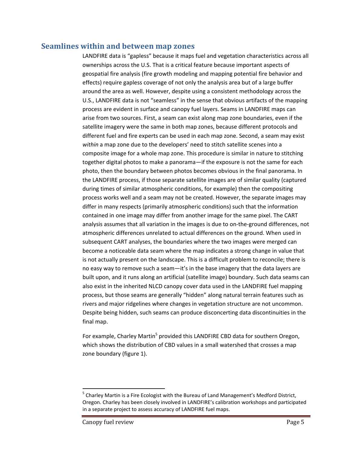#### **Seamlines within and between map zones**

 LANDFIRE data is "gapless" because it maps fuel and vegetation characteristics across all ownerships across the U.S. That is a critical feature because important aspects of geospatial fire analysis (fire growth modeling and mapping potential fire behavior and effects) require gapless coverage of not only the analysis area but of a large buffer around the area as well. However, despite using a consistent methodology across the U.S., LANDFIRE data is not "seamless" in the sense that obvious artifacts of the mapping process are evident in surface and canopy fuel layers. Seams in LANDFIRE maps can arise from two sources. First, a seam can exist along map zone boundaries, even if the satellite imagery were the same in both map zones, because different protocols and different fuel and fire experts can be used in each map zone. Second, a seam may exist *within* a map zone due to the developers' need to stitch satellite scenes into a composite image for a whole map zone. This procedure is similar in nature to stitching together digital photos to make a panorama—if the exposure is not the same for each photo, then the boundary between photos becomes obvious in the final panorama. In the LANDFIRE process, if those separate satellite images are of similar quality (captured during times of similar atmospheric conditions, for example) then the compositing process works well and a seam may not be created. However, the separate images may differ in many respects (primarily atmospheric conditions) such that the information contained in one image may differ from another image for the same pixel. The CART analysis assumes that all variation in the images is due to on‐the‐ground differences, not atmospheric differences unrelated to actual differences on the ground. When used in subsequent CART analyses, the boundaries where the two images were merged can become a noticeable data seam where the map indicates a strong change in value that is not actually present on the landscape. This is a difficult problem to reconcile; there is no easy way to remove such a seam—it's in the base imagery that the data layers are built upon, and it runs along an artificial (satellite image) boundary. Such data seams can also exist in the inherited NLCD canopy cover data used in the LANDFIRE fuel mapping process, but those seams are generally "hidden" along natural terrain features such as rivers and major ridgelines where changes in vegetation structure are not uncommon. Despite being hidden, such seams can produce disconcerting data discontinuities in the final map.

For example, Charley Martin<sup>5</sup> provided this LANDFIRE CBD data for southern Oregon, which shows the distribution of CBD values in a small watershed that crosses a map zone boundary (figure 1).

 $<sup>5</sup>$  Charley Martin is a Fire Ecologist with the Bureau of Land Management's Medford District,</sup> Oregon. Charley has been closely involved in LANDFIRE's calibration workshops and participated in a separate project to assess accuracy of LANDFIRE fuel maps.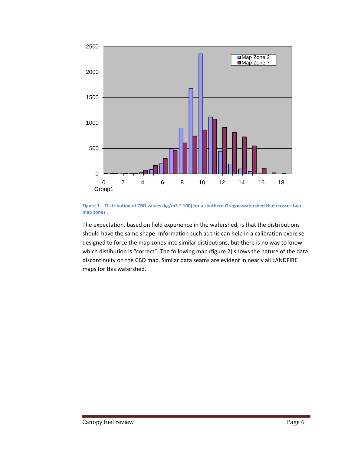

Figure 1 -- Distribution of CBD values (kg/m3 \* 100) for a southern Oregon watershed that crosses two  **map zones .**

 The expectation, based on field experience in the watershed, is that the distributions should have the same shape. Information such as this can help in a calibration exercise designed to force the map zones into similar distibutions, but there is no way to know which distibution is "correct". The following map (figure 2) shows the nature of the data discontinuity on the CBD map. Similar data seams are evident in nearly all LANDFIRE maps for this watershed.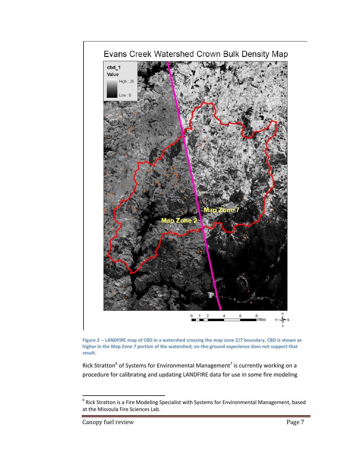



Rick Stratton<sup>6</sup> of Systems for Environmental Management<sup>7</sup> is currently working on a procedure for calibrating and updating LANDFIRE data for use in some fire modeling

 $^6$  Rick Stratton is a Fire Modeling Specialist with Systems for Environmental Management, based at the Missoula Fire Sciences Lab.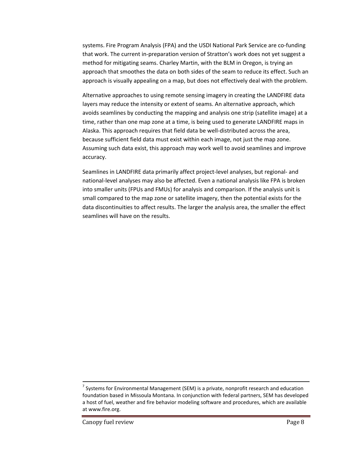systems. Fire Program Analysis (FPA) and the USDI National Park Service are co‐funding that work. The current in‐preparation version of Stratton's work does not yet suggest a method for mitigating seams. Charley Martin, with the BLM in Oregon, is trying an approach that smoothes the data on both sides of the seam to reduce its effect. Such an approach is visually appealing on a map, but does not effectively deal with the problem.

 Alternative approaches to using remote sensing imagery in creating the LANDFIRE data layers may reduce the intensity or extent of seams. An alternative approach, which avoids seamlines by conducting the mapping and analysis one strip (satellite image) at a time, rather than one map zone at a time, is being used to generate LANDFIRE maps in Alaska. This approach requires that field data be well‐distributed across the area, because sufficient field data must exist within each image, not just the map zone. Assuming such data exist, this approach may work well to avoid seamlines and improve accuracy.

 Seamlines in LANDFIRE data primarily affect project‐level analyses, but regional‐ and national‐level analyses may also be affected. Even a national analysis like FPA is broken into smaller units (FPUs and FMUs) for analysis and comparison. If the analysis unit is small compared to the map zone or satellite imagery, then the potential exists for the data discontinuities to affect results. The larger the analysis area, the smaller the effect seamlines will have on the results.

 $^7$  Systems for Environmental Management (SEM) is a private, nonprofit research and education foundation based in Missoula Montana. In conjunction with federal partners, SEM has developed a host of fuel, weather and fire behavior modeling software and procedures, which are available at www.fire.org.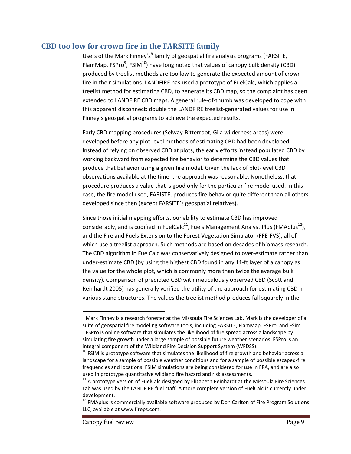## **CBD too low for crown fire in the FARSITE family**

Users of the Mark Finney's<sup>8</sup> family of geospatial fire analysis programs (FARSITE, FlamMap, FSPro $^9$ , FSIM $^{10}$ ) have long noted that values of canopy bulk density (CBD) produced by treelist methods are too low to generate the expected amount of crown fire in their simulations. LANDFIRE has used a prototype of FuelCalc, which applies a treelist method for estimating CBD, to generate its CBD map, so the complaint has been extended to LANDFIRE CBD maps. A general rule‐of‐thumb was developed to cope with this apparent disconnect: double the LANDFIRE treelist‐generated values for use in Finney's geospatial programs to achieve the expected results.

 Early CBD mapping procedures (Selway‐Bitterroot, Gila wilderness areas) were developed before any plot‐level methods of estimating CBD had been developed. Instead of relying on observed CBD at plots, the early efforts instead populated CBD by working backward from expected fire behavior to determine the CBD values that produce that behavior using a given fire model. Given the lack of plot‐level CBD observations available at the time, the approach was reasonable. Nonetheless, that procedure produces a value that is good only for the particular fire model used. In this case, the fire model used, FARISTE, produces fire behavior quite different than all others developed since then (except FARSITE's geospatial relatives).

 Since those initial mapping efforts, our ability to estimate CBD has improved considerably, and is codified in FuelCalc<sup>11</sup>, Fuels Management Analyst Plus (FMAplus<sup>12</sup>), and the Fire and Fuels Extension to the Forest Vegetation Simulator (FFE‐FVS), all of which use a treelist approach. Such methods are based on decades of biomass research. The CBD algorithm in FuelCalc was conservatively designed to over‐estimate rather than under‐estimate CBD (by using the highest CBD found in any 11‐ft layer of a canopy as the value for the whole plot, which is commonly more than twice the average bulk density). Comparison of predicted CBD with meticulously observed CBD (Scott and Reinhardt 2005) has generally verified the utility of the approach for estimating CBD in various stand structures. The values the treelist method produces fall squarely in the

 $^8$  Mark Finney is a research forester at the Missoula Fire Sciences Lab. Mark is the developer of a suite of geospatial fire modeling software tools, including FARSITE, FlamMap, FSPro, and FSim. suite of geospatial fire modeling software tools, including FARSITE, FlamMap, FSPro, and FSim.<br><sup>9</sup> FSPro is online software that simulates the likelihood of fire spread across a landscape by simulating fire growth under a large sample of possible future weather scenarios. FSPro is an integral component of the Wildland Fire Decision Support System (WFDSS). integral component of the Wildland Fire Decision Support System (WFDSS).<br><sup>10</sup> FSIM is prototype software that simulates the likelihood of fire growth and behavior across a

 landscape for a sample of possible weather conditions and for a sample of possible escaped‐fire frequencies and locations. FSIM simulations are being considered for use in FPA, and are also used in prototype quantitative wildland fire hazard and risk assessments.

used in prototype quantitative wildland fire hazard and risk assessments.<br><sup>11</sup> A prototype version of FuelCalc designed by Elizabeth Reinhardt at the Missoula Fire Sciences Lab was used by the LANDFIRE fuel staff. A more complete version of FuelCalc is currently under development.

 $12$  FMAplus is commercially available software produced by Don Carlton of Fire Program Solutions LLC, available at www.fireps.com.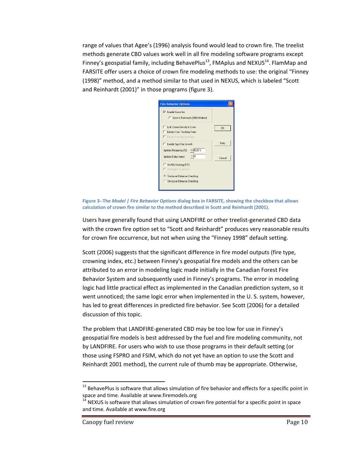range of values that Agee's (1996) analysis found would lead to crown fire. The treelist methods generate CBD values work well in all fire modeling software programs except Finney's geospatial family, including BehavePlus<sup>13</sup>, FMAplus and NEXUS<sup>14</sup>. FlamMap and FARSITE offer users a choice of crown fire modeling methods to use: the original "Finney (1998)" method, and a method similar to that used in NEXUS, which is labeled "Scott and Reinhardt (2001)" in those programs (figure 3).

| <b>Fire Behavior Options</b>                                                                 |        |
|----------------------------------------------------------------------------------------------|--------|
| $\overline{\nabla}$ Enable Crownfire<br>Scott & Reinhardt (2001) Method                      |        |
| Link Crown Density & Cover<br><b>Embers from Torching Trees</b><br>Embers from Surface Fires | OK     |
| Enable Spot Fire Growth<br>5.00 %<br>Ignition Frequency (%)                                  | Help   |
| ۵ŀ<br>Ignition Delay [mins]<br>NWNS Backing ROS<br>Expansion Correction                      | Cancel |
| Fire-Level Distance Checking<br>Sim-Level Distance Checking                                  |        |

Figure 3--The Model | Fire Behavior Options dialog box in FARSITE, showing the checkbox that allows  **calculation of crown fire similar to the method described in Scott and Reinhardt (2001).**

 Users have generally found that using LANDFIRE or other treelist‐generated CBD data with the crown fire option set to "Scott and Reinhardt" produces very reasonable results for crown fire occurrence, but not when using the "Finney 1998" default setting.

 Scott (2006) suggests that the significant difference in fire model outputs (fire type, crowning index, etc.) between Finney's geospatial fire models and the others can be attributed to an error in modeling logic made initially in the Canadian Forest Fire Behavior System and subsequently used in Finney's programs. The error in modeling logic had little practical effect as implemented in the Canadian prediction system, so it went unnoticed; the same logic error when implemented in the U. S. system, however, has led to great differences in predicted fire behavior. See Scott (2006) for a detailed discussion of this topic.

 The problem that LANDFIRE‐generated CBD may be too low for use in Finney's geospatial fire models is best addressed by the fuel and fire modeling community, not by LANDFIRE. For users who wish to use those programs in their default setting (or those using FSPRO and FSIM, which do not yet have an option to use the Scott and Reinhardt 2001 method), the current rule of thumb may be appropriate. Otherwise,

 $^{13}$  BehavePlus is software that allows simulation of fire behavior and effects for a specific point in space and time. Available at www.firemodels.org

space and time. Available at www.firemodels.org<br><sup>14</sup> NEXUS is software that allows simulation of crown fire potential for a specific point in space and time. Available at www.fire.org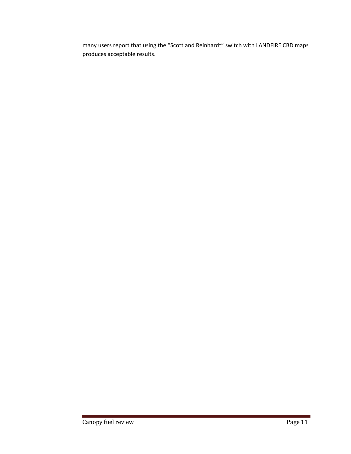many users report that using the "Scott and Reinhardt" switch with LANDFIRE CBD maps produces acceptable results.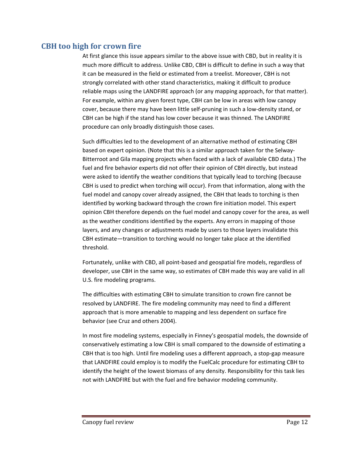# **CBH too high for crown fire**

 At first glance this issue appears similar to the above issue with CBD, but in reality it is much more difficult to address. Unlike CBD, CBH is difficult to define in such a way that it can be measured in the field or estimated from a treelist. Moreover, CBH is not strongly correlated with other stand characteristics, making it difficult to produce reliable maps using the LANDFIRE approach (or any mapping approach, for that matter). For example, within any given forest type, CBH can be low in areas with low canopy cover, because there may have been little self‐pruning in such a low‐density stand, or CBH can be high if the stand has low cover because it was thinned. The LANDFIRE procedure can only broadly distinguish those cases.

 Such difficulties led to the development of an alternative method of estimating CBH based on expert opinion. (Note that this is a similar approach taken for the Selway‐ Bitterroot and Gila mapping projects when faced with a lack of available CBD data.) The fuel and fire behavior experts did not offer their opinion of CBH directly, but instead were asked to identify the weather conditions that typically lead to torching (because CBH is used to predict when torching will occur). From that information, along with the fuel model and canopy cover already assigned, the CBH that leads to torching is then identified by working backward through the crown fire initiation model. This expert opinion CBH therefore depends on the fuel model and canopy cover for the area, as well as the weather conditions identified by the experts. Any errors in mapping of those layers, and any changes or adjustments made by users to those layers invalidate this CBH estimate—transition to torching would no longer take place at the identified threshold.

 Fortunately, unlike with CBD, all point‐based and geospatial fire models, regardless of developer, use CBH in the same way, so estimates of CBH made this way are valid in all U.S. fire modeling programs.

 The difficulties with estimating CBH to simulate transition to crown fire cannot be resolved by LANDFIRE. The fire modeling community may need to find a different approach that is more amenable to mapping and less dependent on surface fire behavior (see Cruz and others 2004).

 In most fire modeling systems, especially in Finney's geospatial models, the downside of conservatively estimating a low CBH is small compared to the downside of estimating a CBH that is too high. Until fire modeling uses a different approach, a stop‐gap measure that LANDFIRE could employ is to modify the FuelCalc procedure for estimating CBH to identify the height of the lowest biomass of any density. Responsibility for this task lies not with LANDFIRE but with the fuel and fire behavior modeling community.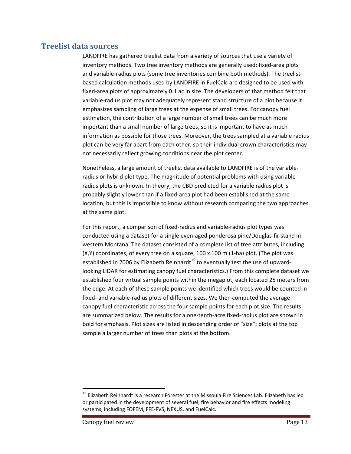#### **Treelist data sources**

 LANDFIRE has gathered treelist data from a variety of sources that use a variety of inventory methods. Two tree inventory methods are generally used: fixed‐area plots and variable‐radius plots (some tree inventories combine both methods). The treelist‐ based calculation methods used by LANDFIRE in FuelCalc are designed to be used with fixed-area plots of approximately 0.1 ac in size. The developers of that method felt that variable‐radius plot may not adequately represent stand structure of a plot because it emphasizes sampling of large trees at the expense of small trees. For canopy fuel estimation, the contribution of a large number of small trees can be much more important than a small number of large trees, so it is important to have as much information as possible for those trees. Moreover, the trees sampled at a variable radius plot can be very far apart from each other, so their individual crown characteristics may not necessarily reflect growing conditions near the plot center.

 Nonetheless, a large amount of treelist data available to LANDFIRE is of the variable‐ radius or hybrid plot type. The magnitude of potential problems with using variable‐ radius plots is unknown. In theory, the CBD predicted for a variable radius plot is probably slightly lower than if a fixed‐area plot had been established at the same location, but this is impossible to know without research comparing the two approaches at the same plot.

 For this report, a comparison of fixed‐radius and variable‐radius plot types was conducted using a dataset for a single even‐aged ponderosa pine/Douglas‐fir stand in western Montana. The dataset consisted of a complete list of tree attributes, including (X,Y) coordinates, of every tree on a square, 100 x 100 m (1‐ha) plot. (The plot was established in 2006 by Elizabeth Reinhardt<sup>15</sup> to eventually test the use of upward- looking LIDAR for estimating canopy fuel characteristics.) From this complete dataset we established four virtual sample points within the megaplot, each located 25 meters from the edge. At each of these sample points we identified which trees would be counted in fixed‐ and variable‐radius plots of different sizes. We then computed the average canopy fuel characteristic across the four sample points for each plot size. The results are summarized below. The results for a one‐tenth‐acre fixed‐radius plot are shown in bold for emphasis. Plot sizes are listed in descending order of "size"; plots at the top sample a larger number of trees than plots at the bottom.

 $^{15}$  Elizabeth Reinhardt is a research Forester at the Missoula Fire Sciences Lab. Elizabeth has led or participated in the development of several fuel, fire behavior and fire effects modeling systems, including FOFEM, FFE‐FVS, NEXUS, and FuelCalc.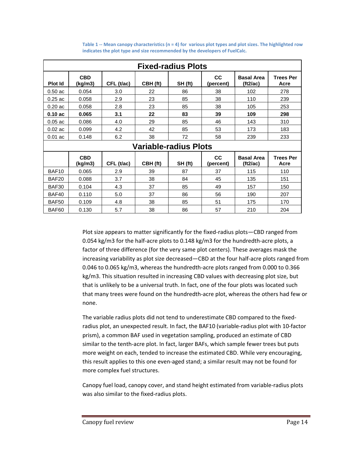| <b>Fixed-radius Plots</b>    |                       |            |          |         |                        |                               |                          |  |  |
|------------------------------|-----------------------|------------|----------|---------|------------------------|-------------------------------|--------------------------|--|--|
| <b>Plot Id</b>               | <b>CBD</b><br>(kg/m3) | CFL (t/ac) | CBH (ft) | SH (ft) | <b>CC</b><br>(percent) | <b>Basal Area</b><br>(tt2/ac) | <b>Trees Per</b><br>Acre |  |  |
| 0.50ac                       | 0.054                 | 3.0        | 22       | 86      | 38                     | 102                           | 278                      |  |  |
| $0.25$ ac                    | 0.058                 | 2.9        | 23       | 85      | 38                     | 110                           | 239                      |  |  |
| $0.20$ ac                    | 0.058                 | 2.8        | 23       | 85      | 38                     | 105                           | 253                      |  |  |
| 0.10ac                       | 0.065                 | 3.1        | 22       | 83      | 39                     | 109                           | 298                      |  |  |
| $0.05$ ac                    | 0.086                 | 4.0        | 29       | 85      | 46                     | 143                           | 310                      |  |  |
| $0.02$ ac                    | 0.099                 | 4.2        | 42       | 85      | 53                     | 173                           | 183                      |  |  |
| $0.01$ ac                    | 0.148                 | 6.2        | 38       | 72      | 58                     | 239                           | 233                      |  |  |
| <b>Variable-radius Plots</b> |                       |            |          |         |                        |                               |                          |  |  |
|                              | <b>CBD</b><br>(kg/m3) | CFL (t/ac) | CBH (ft) | SH (ft) | cc<br>(percent)        | <b>Basal Area</b><br>(ft2/ac) | <b>Trees Per</b><br>Acre |  |  |
| BAF10                        | 0.065                 | 2.9        | 39       | 87      | 37                     | 115                           | 110                      |  |  |
| BAF20                        | 0.088                 | 3.7        | 38       | 84      | 45                     | 135                           | 151                      |  |  |
| BAF30                        | 0.104                 | 4.3        | 37       | 85      | 49                     | 157                           | 150                      |  |  |
| BAF40                        | 0.110                 | 5.0        | 37       | 86      | 56                     | 190                           | 207                      |  |  |
| BAF50                        | 0.109                 | 4.8        | 38       | 85      | 51                     | 175                           | 170                      |  |  |
| BAF60                        | 0.130                 | 5.7        | 38       | 86      | 57                     | 210                           | 204                      |  |  |

Table 1 -- Mean canopy characteristics (n = 4) for various plot types and plot sizes. The highlighted row  **indicates the plot type and size recommended by the developers of FuelCalc.**

 Plot size appears to matter significantly for the fixed‐radius plots—CBD ranged from 0.054 kg/m3 for the half‐acre plots to 0.148 kg/m3 for the hundredth‐acre plots, a factor of three difference (for the very same plot centers). These averages mask the increasing variability as plot size decreased—CBD at the four half‐acre plots ranged from 0.046 to 0.065 kg/m3, whereas the hundredth‐acre plots ranged from 0.000 to 0.366 kg/m3. This situation resulted in increasing CBD values with decreasing plot size, but that is unlikely to be a universal truth. In fact, one of the four plots was located such that many trees were found on the hundredth‐acre plot, whereas the others had few or none.

 The variable radius plots did not tend to underestimate CBD compared to the fixed‐ radius plot, an unexpected result. In fact, the BAF10 (variable‐radius plot with 10‐factor prism), a common BAF used in vegetation sampling, produced an estimate of CBD similar to the tenth‐acre plot. In fact, larger BAFs, which sample fewer trees but puts more weight on each, tended to increase the estimated CBD. While very encouraging, this result applies to this one even‐aged stand; a similar result may not be found for more complex fuel structures.

 Canopy fuel load, canopy cover, and stand height estimated from variable‐radius plots was also similar to the fixed‐radius plots.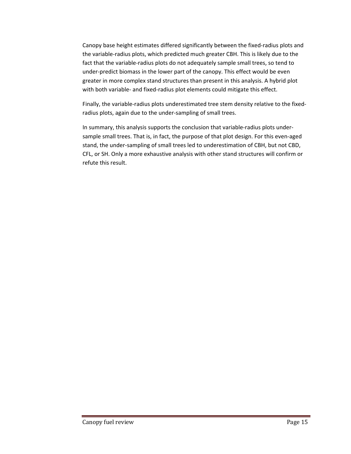Canopy base height estimates differed significantly between the fixed‐radius plots and the variable‐radius plots, which predicted much greater CBH. This is likely due to the fact that the variable‐radius plots do not adequately sample small trees, so tend to under‐predict biomass in the lower part of the canopy. This effect would be even greater in more complex stand structures than present in this analysis. A hybrid plot with both variable‐ and fixed‐radius plot elements could mitigate this effect.

 Finally, the variable‐radius plots underestimated tree stem density relative to the fixed‐ radius plots, again due to the under‐sampling of small trees.

 In summary, this analysis supports the conclusion that variable‐radius plots under‐ sample small trees. That is, in fact, the purpose of that plot design. For this even‐aged stand, the under‐sampling of small trees led to underestimation of CBH, but not CBD, CFL, or SH. Only a more exhaustive analysis with other stand structures will confirm or refute this result.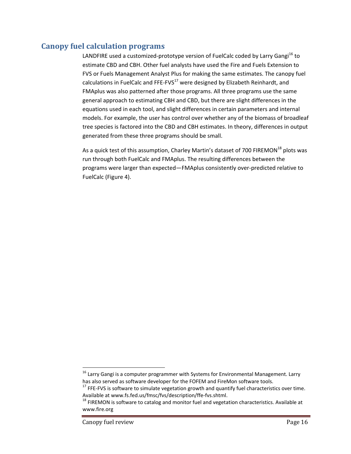# **Canopy fuel calculation programs**

LANDFIRE used a customized-prototype version of FuelCalc coded by Larry Gangi<sup>16</sup> to estimate CBD and CBH. Other fuel analysts have used the Fire and Fuels Extension to FVS or Fuels Management Analyst Plus for making the same estimates. The canopy fuel calculations in FuelCalc and FFE-FVS $^{17}$  were designed by Elizabeth Reinhardt, and FMAplus was also patterned after those programs. All three programs use the same general approach to estimating CBH and CBD, but there are slight differences in the equations used in each tool, and slight differences in certain parameters and internal models. For example, the user has control over whether any of the biomass of broadleaf tree species is factored into the CBD and CBH estimates. In theory, differences in output generated from these three programs should be small.

As a quick test of this assumption, Charley Martin's dataset of 700 FIREMON<sup>18</sup> plots was run through both FuelCalc and FMAplus. The resulting differences between the programs were larger than expected—FMAplus consistently over‐predicted relative to FuelCalc (Figure 4).

 $^{16}$  Larry Gangi is a computer programmer with Systems for Environmental Management. Larry has also served as software developer for the FOFEM and FireMon software tools.

 $17$  FFE-FVS is software to simulate vegetation growth and quantify fuel characteristics over time. Available at www.fs.fed.us/fmsc/fvs/description/ffe‐fvs.shtml.

 $^{18}$  FIREMON is software to catalog and monitor fuel and vegetation characteristics. Available at www.fire.org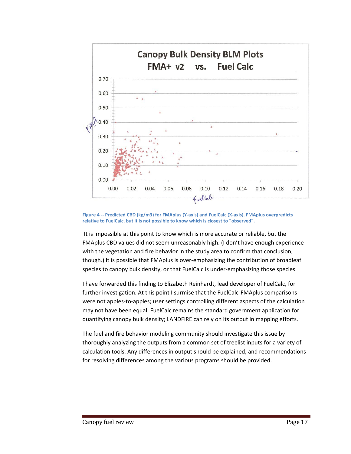

Figure 4 -- Predicted CBD (kg/m3) for FMAplus (Y-axis) and FuelCalc (X-axis). FMAplus overpredicts relative to FuelCalc, but it is not possible to know which is closest to "observed".

 It is impossible at this point to know which is more accurate or reliable, but the FMAplus CBD values did not seem unreasonably high. (I don't have enough experience with the vegetation and fire behavior in the study area to confirm that conclusion, though.) It is possible that FMAplus is over‐emphasizing the contribution of broadleaf species to canopy bulk density, or that FuelCalc is under‐emphasizing those species.

 I have forwarded this finding to Elizabeth Reinhardt, lead developer of FuelCalc, for further investigation. At this point I surmise that the FuelCalc‐FMAplus comparisons were not apples‐to‐apples; user settings controlling different aspects of the calculation may not have been equal. FuelCalc remains the standard government application for quantifying canopy bulk density; LANDFIRE can rely on its output in mapping efforts.

 The fuel and fire behavior modeling community should investigate this issue by thoroughly analyzing the outputs from a common set of treelist inputs for a variety of calculation tools. Any differences in output should be explained, and recommendations for resolving differences among the various programs should be provided.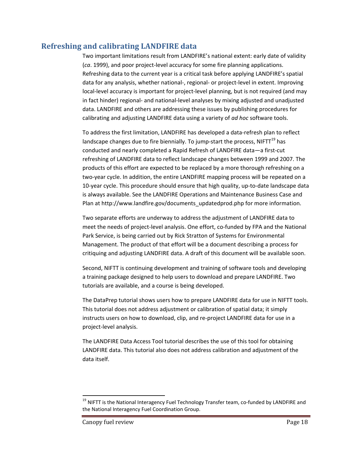# **Refreshing and calibrating LANDFIRE data**

 Two important limitations result from LANDFIRE's national extent: early date of validity (*ca*. 1999), and poor project‐level accuracy for some fire planning applications. Refreshing data to the current year is a critical task before applying LANDFIRE's spatial data for any analysis, whether national‐, regional‐ or project‐level in extent. Improving local‐level accuracy is important for project‐level planning, but is not required (and may in fact hinder) regional‐ and national‐level analyses by mixing adjusted and unadjusted data. LANDFIRE and others are addressing these issues by publishing procedures for calibrating and adjusting LANDFIRE data using a variety of *ad hoc* software tools.

 To address the first limitation, LANDFIRE has developed a data‐refresh plan to reflect landscape changes due to fire biennially. To jump-start the process, NIFTT $^{19}$  has conducted and nearly completed a Rapid Refresh of LANDFIRE data—a first‐cut refreshing of LANDFIRE data to reflect landscape changes between 1999 and 2007. The products of this effort are expected to be replaced by a more thorough refreshing on a two‐year cycle. In addition, the entire LANDFIRE mapping process will be repeated on a 10‐year cycle. This procedure should ensure that high quality, up‐to‐date landscape data is always available. See the LANDFIRE Operations and Maintenance Business Case and Plan at http://www.landfire.gov/documents\_updatedprod.php for more information.

 Two separate efforts are underway to address the adjustment of LANDFIRE data to meet the needs of project-level analysis. One effort, co-funded by FPA and the National Park Service, is being carried out by Rick Stratton of Systems for Environmental Management. The product of that effort will be a document describing a process for critiquing and adjusting LANDFIRE data. A draft of this document will be available soon.

 Second, NIFTT is continuing development and training of software tools and developing a training package designed to help users to download and prepare LANDFIRE. Two tutorials are available, and a course is being developed.

 The DataPrep tutorial shows users how to prepare LANDFIRE data for use in NIFTT tools. This tutorial does not address adjustment or calibration of spatial data; it simply instructs users on how to download, clip, and re‐project LANDFIRE data for use in a project‐level analysis.

 The LANDFIRE Data Access Tool tutorial describes the use of this tool for obtaining LANDFIRE data. This tutorial also does not address calibration and adjustment of the data itself.

 $^{19}$  NIFTT is the National Interagency Fuel Technology Transfer team, co-funded by LANDFIRE and the National Interagency Fuel Coordination Group.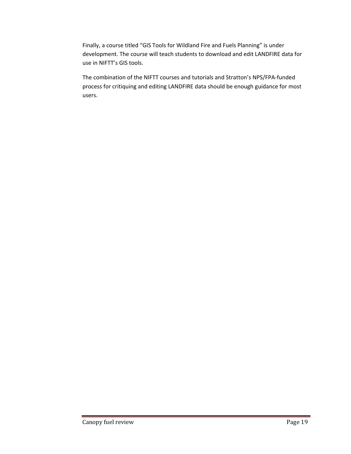Finally, a course titled "GIS Tools for Wildland Fire and Fuels Planning" is under development. The course will teach students to download and edit LANDFIRE data for use in NIFTT's GIS tools.

 The combination of the NIFTT courses and tutorials and Stratton's NPS/FPA‐funded process for critiquing and editing LANDFIRE data should be enough guidance for most users.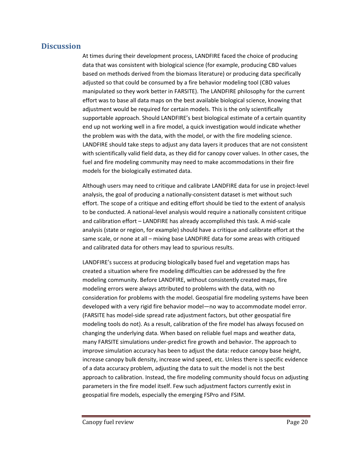#### **Discussion**

 At times during their development process, LANDFIRE faced the choice of producing data that was consistent with biological science (for example, producing CBD values based on methods derived from the biomass literature) or producing data specifically adjusted so that could be consumed by a fire behavior modeling tool (CBD values manipulated so they work better in FARSITE). The LANDFIRE philosophy for the current effort was to base all data maps on the best available biological science, knowing that adjustment would be required for certain models. This is the only scientifically supportable approach. Should LANDFIRE's best biological estimate of a certain quantity end up not working well in a fire model, a quick investigation would indicate whether the problem was with the data, with the model, or with the fire modeling science. LANDFIRE should take steps to adjust any data layers it produces that are not consistent with scientifically valid field data, as they did for canopy cover values. In other cases, the fuel and fire modeling community may need to make accommodations in their fire models for the biologically estimated data.

 Although users may need to critique and calibrate LANDFIRE data for use in project‐level analysis, the goal of producing a nationally‐consistent dataset is met without such effort. The scope of a critique and editing effort should be tied to the extent of analysis to be conducted. A national‐level analysis would require a nationally consistent critique and calibration effort – LANDFIRE has already accomplished this task. A mid‐scale analysis (state or region, for example) should have a critique and calibrate effort at the same scale, or none at all – mixing base LANDFIRE data for some areas with critiqued and calibrated data for others may lead to spurious results.

 LANDFIRE's success at producing biologically based fuel and vegetation maps has created a situation where fire modeling difficulties can be addressed by the fire modeling community. Before LANDFIRE, without consistently created maps, fire modeling errors were always attributed to problems with the data, with no consideration for problems with the model. Geospatial fire modeling systems have been developed with a very rigid fire behavior model—no way to accommodate model error. (FARSITE has model‐side spread rate adjustment factors, but other geospatial fire modeling tools do not). As a result, calibration of the fire model has always focused on changing the underlying data. When based on reliable fuel maps and weather data, many FARSITE simulations under‐predict fire growth and behavior. The approach to improve simulation accuracy has been to adjust the data: reduce canopy base height, increase canopy bulk density, increase wind speed, etc. Unless there is specific evidence of a data accuracy problem, adjusting the data to suit the model is not the best approach to calibration. Instead, the fire modeling community should focus on adjusting parameters in the fire model itself. Few such adjustment factors currently exist in geospatial fire models, especially the emerging FSPro and FSIM.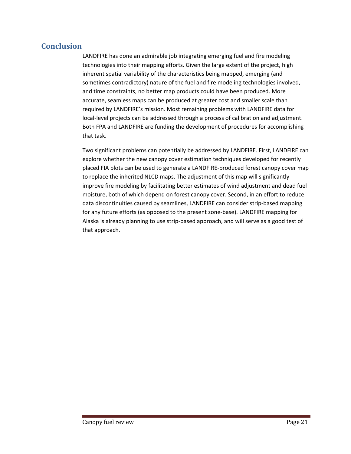# **Conclusion**

 LANDFIRE has done an admirable job integrating emerging fuel and fire modeling technologies into their mapping efforts. Given the large extent of the project, high inherent spatial variability of the characteristics being mapped, emerging (and sometimes contradictory) nature of the fuel and fire modeling technologies involved, and time constraints, no better map products could have been produced. More accurate, seamless maps can be produced at greater cost and smaller scale than required by LANDFIRE's mission. Most remaining problems with LANDFIRE data for local‐level projects can be addressed through a process of calibration and adjustment. Both FPA and LANDFIRE are funding the development of procedures for accomplishing that task.

 Two significant problems can potentially be addressed by LANDFIRE. First, LANDFIRE can explore whether the new canopy cover estimation techniques developed for recently placed FIA plots can be used to generate a LANDFIRE‐produced forest canopy cover map to replace the inherited NLCD maps. The adjustment of this map will significantly improve fire modeling by facilitating better estimates of wind adjustment and dead fuel moisture, both of which depend on forest canopy cover. Second, in an effort to reduce data discontinuities caused by seamlines, LANDFIRE can consider strip‐based mapping for any future efforts (as opposed to the present zone‐base). LANDFIRE mapping for Alaska is already planning to use strip‐based approach, and will serve as a good test of that approach.